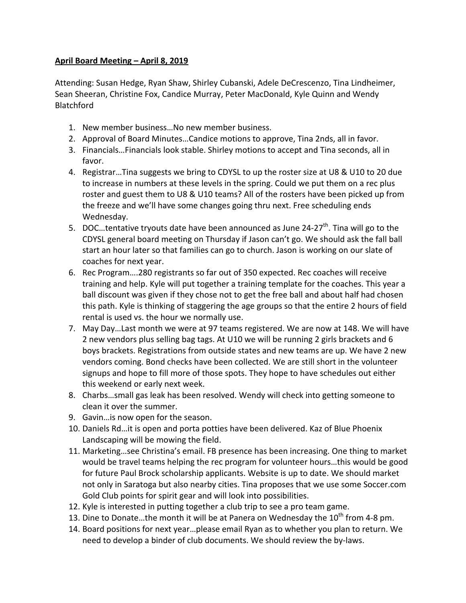## **April Board Meeting – April 8, 2019**

Attending: Susan Hedge, Ryan Shaw, Shirley Cubanski, Adele DeCrescenzo, Tina Lindheimer, Sean Sheeran, Christine Fox, Candice Murray, Peter MacDonald, Kyle Quinn and Wendy Blatchford

- 1. New member business...No new member business.
- 2. Approval of Board Minutes...Candice motions to approve, Tina 2nds, all in favor.
- 3. Financials...Financials look stable. Shirley motions to accept and Tina seconds, all in favor.
- 4. Registrar...Tina suggests we bring to CDYSL to up the roster size at U8 & U10 to 20 due to increase in numbers at these levels in the spring. Could we put them on a rec plus roster and guest them to U8 & U10 teams? All of the rosters have been picked up from the freeze and we'll have some changes going thru next. Free scheduling ends Wednesday.
- 5. DOC...tentative tryouts date have been announced as June 24-27<sup>th</sup>. Tina will go to the CDYSL general board meeting on Thursday if Jason can't go. We should ask the fall ball start an hour later so that families can go to church. Jason is working on our slate of coaches for next year.
- 6. Rec Program....280 registrants so far out of 350 expected. Rec coaches will receive training and help. Kyle will put together a training template for the coaches. This year a ball discount was given if they chose not to get the free ball and about half had chosen this path. Kyle is thinking of staggering the age groups so that the entire 2 hours of field rental is used vs. the hour we normally use.
- 7. May Day...Last month we were at 97 teams registered. We are now at 148. We will have 2 new vendors plus selling bag tags. At U10 we will be running 2 girls brackets and 6 boys brackets. Registrations from outside states and new teams are up. We have 2 new vendors coming. Bond checks have been collected. We are still short in the volunteer signups and hope to fill more of those spots. They hope to have schedules out either this weekend or early next week.
- 8. Charbs...small gas leak has been resolved. Wendy will check into getting someone to clean it over the summer.
- 9. Gavin... is now open for the season.
- 10. Daniels Rd...it is open and porta potties have been delivered. Kaz of Blue Phoenix Landscaping will be mowing the field.
- 11. Marketing...see Christina's email. FB presence has been increasing. One thing to market would be travel teams helping the rec program for volunteer hours...this would be good for future Paul Brock scholarship applicants. Website is up to date. We should market not only in Saratoga but also nearby cities. Tina proposes that we use some Soccer.com Gold Club points for spirit gear and will look into possibilities.
- 12. Kyle is interested in putting together a club trip to see a pro team game.
- 13. Dine to Donate...the month it will be at Panera on Wednesday the  $10^{th}$  from 4-8 pm.
- 14. Board positions for next year...please email Ryan as to whether you plan to return. We need to develop a binder of club documents. We should review the by-laws.